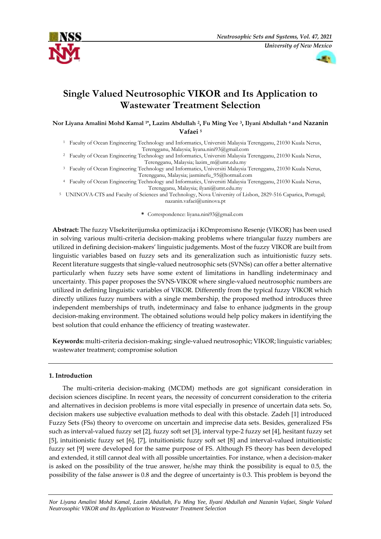



# **Single Valued Neutrosophic VIKOR and Its Application to Wastewater Treatment Selection**

**Nor Liyana Amalini Mohd Kamal 1\*, Lazim Abdullah <sup>2</sup> , Fu Ming Yee <sup>3</sup> , Ilyani Abdullah 4 and Nazanin Vafaei <sup>5</sup>**

<sup>1</sup> Faculty of Ocean Engineering Technology and Informatics, Universiti Malaysia Terengganu, 21030 Kuala Nerus, Terengganu, Malaysia; [liyana.nini93@gmail.com](mailto:liyana.nini93@gmail.com)

<sup>2</sup> Faculty of Ocean Engineering Technology and Informatics, Universiti Malaysia Terengganu, 21030 Kuala Nerus, Terengganu, Malaysia[; lazim\\_m@umt.edu.my](mailto:lazim_m@umt.edu.my)

<sup>3</sup> Faculty of Ocean Engineering Technology and Informatics, Universiti Malaysia Terengganu, 21030 Kuala Nerus, Terengganu, Malaysia; [jasminefu\\_95@hotmail.com](mailto:jasminefu_95@hotmail.com)

<sup>4</sup> Faculty of Ocean Engineering Technology and Informatics, Universiti Malaysia Terengganu, 21030 Kuala Nerus, Terengganu, Malaysia; [ilyani@umt.edu.my](mailto:ilyani@umt.edu.my)

<sup>5</sup> UNINOVA-CTS and Faculty of Sciences and Technology, Nova University of Lisbon, 2829-516 Caparica, Portugal; nazanin.vafaei@uninova.pt

**\*** Correspondence: liyana.nini93@gmail.com

**Abstract:** The fuzzy VIsekriterijumska optimizacija i KOmpromisno Resenje (VIKOR) has been used in solving various multi-criteria decision-making problems where triangular fuzzy numbers are utilized in defining decision-makers' linguistic judgements. Most of the fuzzy VIKOR are built from linguistic variables based on fuzzy sets and its generalization such as intuitionistic fuzzy sets. Recent literature suggests that single-valued neutrosophic sets (SVNSs) can offer a better alternative particularly when fuzzy sets have some extent of limitations in handling indeterminacy and uncertainty. This paper proposes the SVNS-VIKOR where single-valued neutrosophic numbers are utilized in defining linguistic variables of VIKOR. Differently from the typical fuzzy VIKOR which directly utilizes fuzzy numbers with a single membership, the proposed method introduces three independent memberships of truth, indeterminacy and false to enhance judgments in the group decision-making environment. The obtained solutions would help policy makers in identifying the best solution that could enhance the efficiency of treating wastewater.

**Keywords:** multi-criteria decision-making; single-valued neutrosophic; VIKOR; linguistic variables; wastewater treatment; compromise solution

## **1. Introduction**

The multi-criteria decision-making (MCDM) methods are got significant consideration in decision sciences discipline. In recent years, the necessity of concurrent consideration to the criteria and alternatives in decision problems is more vital especially in presence of uncertain data sets. So, decision makers use subjective evaluation methods to deal with this obstacle. Zadeh [1] introduced Fuzzy Sets (FSs) theory to overcome on uncertain and imprecise data sets. Besides, generalized FSs such as interval-valued fuzzy set [2], fuzzy soft set [3], interval type-2 fuzzy set [4], hesitant fuzzy set [5], intuitionistic fuzzy set [6], [7], intuitionistic fuzzy soft set [8] and interval-valued intuitionistic fuzzy set [9] were developed for the same purpose of FS. Although FS theory has been developed and extended, it still cannot deal with all possible uncertainties. For instance, when a decision-maker is asked on the possibility of the true answer, he/she may think the possibility is equal to 0.5, the possibility of the false answer is 0.8 and the degree of uncertainty is 0.3. This problem is beyond the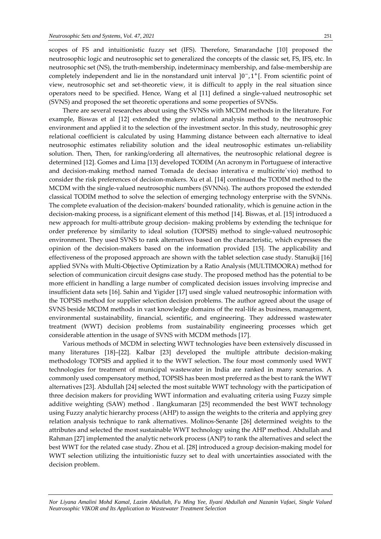scopes of FS and intuitionistic fuzzy set (IFS). Therefore, Smarandache [10] proposed the neutrosophic logic and neutrosophic set to generalized the concepts of the classic set, FS, IFS, etc. In neutrosophic set (NS), the truth-membership, indeterminacy membership, and false-membership are completely independent and lie in the nonstandard unit interval ]0<sup>-</sup>, 1<sup>+</sup>[. From scientific point of view, neutrosophic set and set-theoretic view, it is difficult to apply in the real situation since operators need to be specified. Hence, Wang et al [11] defined a single-valued neutrosophic set (SVNS) and proposed the set theoretic operations and some properties of SVNSs.

There are several researches about using the SVNSs with MCDM methods in the literature. For example, Biswas et al [12] extended the grey relational analysis method to the neutrosophic environment and applied it to the selection of the investment sector. In this study, neutrosophic grey relational coefficient is calculated by using Hamming distance between each alternative to ideal neutrosophic estimates reliability solution and the ideal neutrosophic estimates un-reliability solution. Then, Then, for ranking/ordering all alternatives, the neutrosophic relational degree is determined [12]. Gomes and Lima [13] developed TODIM (An acronym in Portuguese of interactive and decision-making method named Tomada de decisao interativa e multicrite´vio) method to consider the risk preferences of decision-makers. Xu et al. [14] continued the TODIM method to the MCDM with the single-valued neutrosophic numbers (SVNNs). The authors proposed the extended classical TODIM method to solve the selection of emerging technology enterprise with the SVNNs. The complete evaluation of the decision-makers' bounded rationality, which is genuine action in the decision-making process, is a significant element of this method [14]. Biswas, et al. [15] introduced a new approach for multi-attribute group decision- making problems by extending the technique for order preference by similarity to ideal solution (TOPSIS) method to single-valued neutrosophic environment. They used SVNS to rank alternatives based on the characteristic, which expresses the opinion of the decision-makers based on the information provided [15]. The applicability and effectiveness of the proposed approach are shown with the tablet selection case study. Stanujkij [16] applied SVNs with Multi-Objective Optimization by a Ratio Analysis (MULTIMOORA) method for selection of communication circuit designs case study. The proposed method has the potential to be more efficient in handling a large number of complicated decision issues involving imprecise and insufficient data sets [16]. Sahin and Yigider [17] used single valued neutrosophic information with the TOPSIS method for supplier selection decision problems. The author agreed about the usage of SVNS beside MCDM methods in vast knowledge domains of the real-life as business, management, environmental sustainability, financial, scientific, and engineering. They addressed wastewater treatment (WWT) decision problems from sustainability engineering processes which get considerable attention in the usage of SVNS with MCDM methods [17].

Various methods of MCDM in selecting WWT technologies have been extensively discussed in many literatures [18]–[22]. Kalbar [23] developed the multiple attribute decision-making methodology TOPSIS and applied it to the WWT selection. The four most commonly used WWT technologies for treatment of municipal wastewater in India are ranked in many scenarios. A commonly used compensatory method, TOPSIS has been most preferred as the best to rank the WWT alternatives [23]. Abdullah [24] selected the most suitable WWT technology with the participation of three decision makers for providing WWT information and evaluating criteria using Fuzzy simple additive weighting (SAW) method . Ilangkumaran [25] recommended the best WWT technology using Fuzzy analytic hierarchy process (AHP) to assign the weights to the criteria and applying grey relation analysis technique to rank alternatives. Molinos-Senante [26] determined weights to the attributes and selected the most sustainable WWT technology using the AHP method. Abdullah and Rahman [27] implemented the analytic network process (ANP) to rank the alternatives and select the best WWT for the related case study. Zhou et al. [28] introduced a group decision-making model for WWT selection utilizing the intuitionistic fuzzy set to deal with uncertainties associated with the decision problem.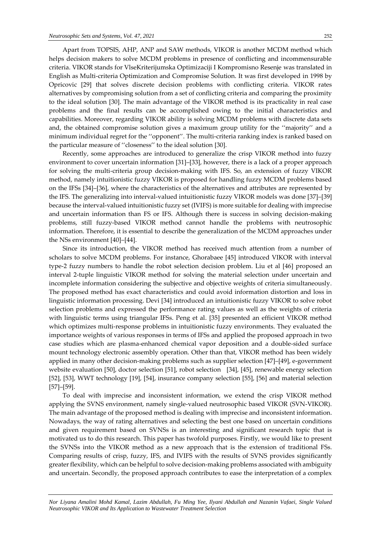Apart from TOPSIS, AHP, ANP and SAW methods, VIKOR is another MCDM method which helps decision makers to solve MCDM problems in presence of conflicting and incommensurable criteria. VIKOR stands for VlseKriterijumska Optimizaciji I Kompromisno Resenje was translated in English as Multi-criteria Optimization and Compromise Solution. It was first developed in 1998 by Opricovic [29] that solves discrete decision problems with conflicting criteria. VIKOR rates alternatives by compromising solution from a set of conflicting criteria and comparing the proximity to the ideal solution [30]. The main advantage of the VIKOR method is its practicality in real case problems and the final results can be accomplished owing to the initial characteristics and capabilities. Moreover, regarding VIKOR ability is solving MCDM problems with discrete data sets and, the obtained compromise solution gives a maximum group utility for the ''majority'' and a minimum individual regret for the ''opponent''. The multi-criteria ranking index is ranked based on the particular measure of ''closeness'' to the ideal solution [30].

Recently, some approaches are introduced to generalize the crisp VIKOR method into fuzzy environment to cover uncertain information [31]–[33], however, there is a lack of a proper approach for solving the multi-criteria group decision-making with IFS. So, an extension of fuzzy VIKOR method, namely intuitionistic fuzzy VIKOR is proposed for handling fuzzy MCDM problems based on the IFSs [34]–[36], where the characteristics of the alternatives and attributes are represented by the IFS. The generalizing into interval-valued intuitionistic fuzzy VIKOR models was done [37]–[39] because the interval-valued intuitionistic fuzzy set (IVIFS) is more suitable for dealing with imprecise and uncertain information than FS or IFS. Although there is success in solving decision-making problems, still fuzzy-based VIKOR method cannot handle the problems with neutrosophic information. Therefore, it is essential to describe the generalization of the MCDM approaches under the NSs environment [40]–[44].

Since its introduction, the VIKOR method has received much attention from a number of scholars to solve MCDM problems. For instance, Ghorabaee [45] introduced VIKOR with interval type-2 fuzzy numbers to handle the robot selection decision problem. Liu et al [46] proposed an interval 2-tuple linguistic VIKOR method for solving the material selection under uncertain and incomplete information considering the subjective and objective weights of criteria simultaneously. The proposed method has exact characteristics and could avoid information distortion and loss in linguistic information processing. Devi [34] introduced an intuitionistic fuzzy VIKOR to solve robot selection problems and expressed the performance rating values as well as the weights of criteria with linguistic terms using triangular IFSs. Peng et al. [35] presented an efficient VIKOR method which optimizes multi-response problems in intuitionistic fuzzy environments. They evaluated the importance weights of various responses in terms of IFSs and applied the proposed approach in two case studies which are plasma-enhanced chemical vapor deposition and a double-sided surface mount technology electronic assembly operation. Other than that, VIKOR method has been widely applied in many other decision-making problems such as supplier selection [47]–[49], e-government website evaluation [50], doctor selection [51], robot selection [34], [45], renewable energy selection [52], [53], WWT technology [19], [54], insurance company selection [55], [56] and material selection [57]–[59].

To deal with imprecise and inconsistent information, we extend the crisp VIKOR method applying the SVNS environment, namely single-valued neutrosophic based VIKOR (SVN-VIKOR). The main advantage of the proposed method is dealing with imprecise and inconsistent information. Nowadays, the way of rating alternatives and selecting the best one based on uncertain conditions and given requirement based on SVNSs is an interesting and significant research topic that is motivated us to do this research. This paper has twofold purposes. Firstly, we would like to present the SVNSs into the VIKOR method as a new approach that is the extension of traditional FSs. Comparing results of crisp, fuzzy, IFS, and IVIFS with the results of SVNS provides significantly greater flexibility, which can be helpful to solve decision-making problems associated with ambiguity and uncertain. Secondly, the proposed approach contributes to ease the interpretation of a complex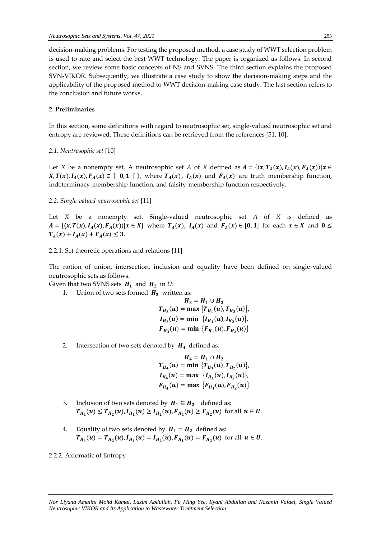decision-making problems. For testing the proposed method, a case study of WWT selection problem is used to rate and select the best WWT technology. The paper is organized as follows. In second section, we review some basic concepts of NS and SVNS. The third section explains the proposed SVN-VIKOR. Subsequently, we illustrate a case study to show the decision-making steps and the applicability of the proposed method to WWT decision-making case study. The last section refers to the conclusion and future works.

# **2. Preliminaries**

In this section, some definitions with regard to neutrosophic set, single-valued neutrosophic set and entropy are reviewed. These definitions can be retrieved from the references [51, 10].

*2.1. Neutrosophic set* [10]

Let *X* be a nonempty set. A neutrosophic set *A* of *X* defined as  $A = \{ (x, T_A(x), I_A(x), F_A(x) ) | x \in$  $X, T(x), I_A(x), F_A(x) \in \left]$ <sup>-</sup>0,1<sup>+</sup>[ $\right\}$ , where  $T_A(x)$ ,  $I_A(x)$  and  $F_A(x)$  are truth membership function, indeterminacy-membership function, and falsity-membership function respectively.

#### *2.2. Single-valued neutrosophic set* [11]

Let *X* be a nonempty set. Single-valued neutrosophic set *A* of *X* is defined as  $A = \{\langle x, T(x), I_A(x), F_A(x)\rangle | x \in X\}$  where  $T_A(x)$ ,  $I_A(x)$  and  $F_A(x) \in [0, 1]$  for each  $x \in X$  and  $0 \leq$  $T_A(x) + I_A(x) + F_A(x) \leq 3.$ 

2.2.1. Set theoretic operations and relations [11]

The notion of union, intersection, inclusion and equality have been defined on single-valued neutrosophic sets as follows.

Given that two SVNS sets  $H_1$  and  $H_2$  in *U*:

1. Union of two sets formed  $H_3$  written as:

$$
H_3 = H_1 \cup H_2
$$
  
\n
$$
T_{H_3}(u) = \max \{ T_{H_1}(u), T_{H_2}(u) \},
$$
  
\n
$$
I_{H_3}(u) = \min \{ I_{H_1}(u), I_{H_2}(u) \},
$$
  
\n
$$
F_{H_3}(u) = \min \{ F_{H_1}(u), F_{H_2}(u) \}
$$

2. Intersection of two sets denoted by  $H_4$  defined as:

$$
H_4 = H_1 \cap H_2
$$
  
\n
$$
T_{H_4}(u) = \min \{T_{H_1}(u), T_{H_2}(u)\},
$$
  
\n
$$
I_{H_4}(u) = \max \{I_{H_1}(u), I_{H_2}(u)\},
$$
  
\n
$$
F_{H_4}(u) = \max \{F_{H_1}(u), F_{H_2}(u)\}
$$

- 3. Inclusion of two sets denoted by  $H_1 \subseteq H_2$  defined as:  $T_{H_1}(u) \le T_{H_2}(u), I_{H_1}(u) \ge I_{H_2}(u), F_{H_1}(u) \ge F_{H_2}(u)$  for all  $u \in U$ .
- 4. Equality of two sets denoted by  $H_1 = H_2$  defined as:  $T_{H_1}(u) = T_{H_2}(u), I_{H_1}(u) = I_{H_2}(u), F_{H_1}(u) = F_{H_2}(u)$  for all  $u \in U$ .

#### 2.2.2. Axiomatic of Entropy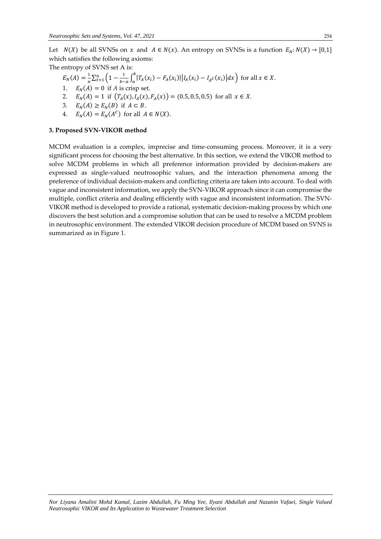Let  $N(X)$  be all SVNSs on x and  $A \in N(x)$ . An entropy on SVNSs is a function  $E_N: N(X) \to [0,1]$ which satisfies the following axioms:

The entropy of SVNS set A is:

- $E_N(A) = \frac{1}{n}$  $\frac{1}{n} \sum_{t=1}^{n} \left( 1 - \frac{1}{b-1} \right)$  $\frac{1}{b-a} \int_a^b |T_A(x_i) - F_A(x_i)| |I_A(x_i) - I_A c(x_i)| dx$  $\int_{t=1}^{n} \left(1 - \frac{1}{b-a} \int_{a}^{b} |T_A(x_i) - F_A(x_i)| \Big| I_A(x_i) - I_A(c(x_i)) \Big| dx \right)$  for all  $x \in X$ .
- $E_N(A) = 0$  if *A* is crisp set.
- 2.  $E_N(A) = 1$  if  $(T_A(x), I_A(x), F_A(x)) = (0.5, 0.5, 0.5)$  for all  $x \in X$ .
- 3.  $E_N(A) \ge E_N(B)$  if  $A \subset B$ .
- 4.  $E_N(A) = E_N(A^C)$  for all  $A \in N(X)$ .

# **3. Proposed SVN-VIKOR method**

MCDM evaluation is a complex, imprecise and time-consuming process. Moreover, it is a very significant process for choosing the best alternative. In this section, we extend the VIKOR method to solve MCDM problems in which all preference information provided by decision-makers are expressed as single-valued neutrosophic values, and the interaction phenomena among the preference of individual decision-makers and conflicting criteria are taken into account. To deal with vague and inconsistent information, we apply the SVN-VIKOR approach since it can compromise the multiple, conflict criteria and dealing efficiently with vague and inconsistent information. The SVN-VIKOR method is developed to provide a rational, systematic decision-making process by which one discovers the best solution and a compromise solution that can be used to resolve a MCDM problem in neutrosophic environment. The extended VIKOR decision procedure of MCDM based on SVNS is summarized as in Figure 1.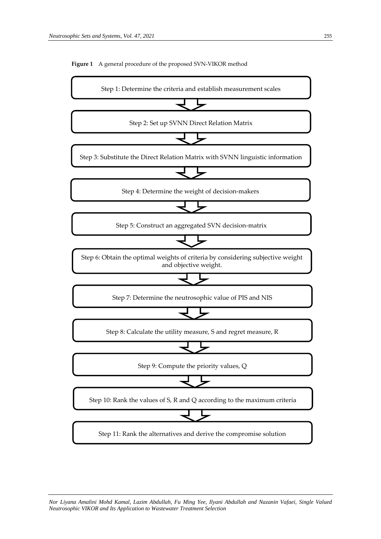**Figure 1** A general procedure of the proposed SVN-VIKOR method

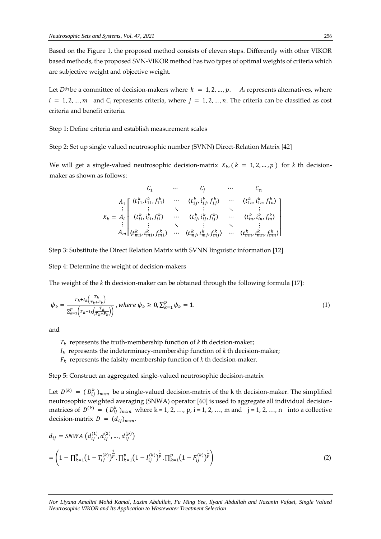Based on the Figure 1, the proposed method consists of eleven steps. Differently with other VIKOR based methods, the proposed SVN-VIKOR method has two types of optimal weights of criteria which are subjective weight and objective weight.

Let  $D^{(k)}$  be a committee of decision-makers where  $k = 1, 2, ..., p$ . *A<sub>i</sub>* represents alternatives, where  $i = 1, 2, ..., m$  and *C<sub>j</sub>* represents criteria, where  $j = 1, 2, ..., n$ . The criteria can be classified as cost criteria and benefit criteria.

Step 1: Define criteria and establish measurement scales

Step 2: Set up single valued neutrosophic number (SVNN) Direct-Relation Matrix [42]

We will get a single-valued neutrosophic decision-matrix  $X_k$ ,  $(k = 1, 2, ..., p)$  for k th decisionmaker as shown as follows:

$$
C_{1} \cdots C_{j} \cdots C_{n}
$$
\n
$$
A_{1} \begin{bmatrix} \langle t_{11}^{k}, i_{11}^{k}, f_{11}^{k} \rangle & \cdots & \langle t_{1j}^{k}, i_{1j}^{k}, f_{1j}^{k} \rangle & \cdots & \langle t_{1n}^{k}, i_{1n}^{k}, f_{1n}^{k} \rangle \\ \vdots & \vdots & \ddots & \vdots & \ddots & \vdots \\ \langle t_{i1}^{k}, i_{i1}^{k}, f_{i1}^{k} \rangle & \cdots & \langle t_{ij}^{k}, i_{ij}^{k}, f_{ij}^{k} \rangle & \cdots & \langle t_{in}^{k}, i_{in}^{k}, f_{in}^{k} \rangle \\ \vdots & \vdots & \ddots & \vdots & \ddots & \vdots \\ A_{m} \begin{bmatrix} \langle t_{m1}^{k}, i_{m1}^{k}, f_{m1}^{k} \rangle & \cdots & \langle t_{mj}^{k}, i_{mj}^{k}, f_{mj}^{k} \rangle & \cdots & \langle t_{mn}^{k}, i_{mn}^{k}, f_{mn}^{k} \rangle \end{bmatrix} \end{bmatrix}
$$

Step 3: Substitute the Direct Relation Matrix with SVNN linguistic information [12]

Step 4: Determine the weight of decision-makers

The weight of the *k* th decision-maker can be obtained through the following formula [17]:

$$
\psi_k = \frac{r_{k} + I_k(\frac{T_k}{T_k + F_k})}{\sum_{k=1}^p (r_{k} + I_k(\frac{T_k}{T_k + F_k}))}, \text{ where } \psi_k \ge 0, \sum_{k=1}^p \psi_k = 1. \tag{1}
$$

and

- $T_k$  represents the truth-membership function of  $k$  th decision-maker;
- $I_k$  represents the indeterminacy-membership function of  $k$  th decision-maker;
- $F_k$  represents the falsity-membership function of  $k$  th decision-maker.

Step 5: Construct an aggregated single-valued neutrosophic decision-matrix

Let  $D^{(k)} = (D_{ij}^k)_{m \times n}$  be a single-valued decision-matrix of the k th decision-maker. The simplified neutrosophic weighted averaging (SNWA) operator [60] is used to aggregate all individual decisionmatrices of  $D^{(k)} = (D_{ij}^k)_{m \times n}$  where k = 1, 2, …, p, i = 1, 2, …, m and j = 1, 2, …, n into a collective decision-matrix  $D = (d_{ij})_{m \times n}$ .

$$
d_{ij} = \text{SWVA} \left( d_{ij}^{(1)}, d_{ij}^{(2)}, \dots, d_{ij}^{(p)} \right)
$$
  
= 
$$
\left( 1 - \prod_{k=1}^{p} \left( 1 - T_{ij}^{(k)} \right)^{\frac{1}{p}}, \prod_{k=1}^{p} \left( 1 - I_{ij}^{(k)} \right)^{\frac{1}{p}}, \prod_{k=1}^{p} \left( 1 - F_{ij}^{(k)} \right)^{\frac{1}{p}} \right)
$$
 (2)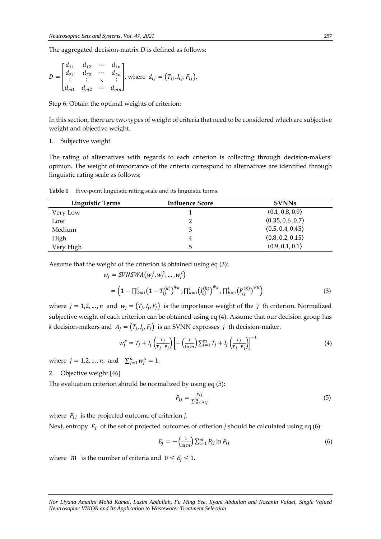The aggregated decision-matrix *D* is defined as follows:

$$
D = \begin{bmatrix} d_{11} & d_{12} & \cdots & d_{1n} \\ d_{21} & d_{22} & \cdots & d_{2n} \\ \vdots & \vdots & \ddots & \vdots \\ d_{m1} & d_{m2} & \cdots & d_{mn} \end{bmatrix}, \text{ where } d_{ij} = (T_{ij}, I_{ij}, F_{ij}).
$$

Step 6: Obtain the optimal weights of criterion:

In this section, there are two types of weight of criteria that need to be considered which are subjective weight and objective weight.

1. Subjective weight

The rating of alternatives with regards to each criterion is collecting through decision-makers' opinion. The weight of importance of the criteria correspond to alternatives are identified through linguistic rating scale as follows:

**Table 1** Five-point linguistic rating scale and its linguistic terms.

| <b>Linguistic Terms</b> | <b>Influence Score</b> | <b>SVNNs</b>     |
|-------------------------|------------------------|------------------|
| Very Low                |                        | (0.1, 0.8, 0.9)  |
| Low                     |                        | (0.35, 0.6, 0.7) |
| Medium                  |                        | (0.5, 0.4, 0.45) |
| High                    |                        | (0.8, 0.2, 0.15) |
| Very High               |                        | (0.9, 0.1, 0.1)  |

Assume that the weight of the criterion is obtained using eq (3):

$$
w_j = SVNSWA(w_j^1, w_j^2, ..., w_j^l)
$$
  
=  $\left(1 - \prod_{k=1}^l (1 - T_{ij}^{(k)})^{\psi_k}, \prod_{k=1}^l (I_{ij}^{(k)})^{\psi_k}, \prod_{k=1}^l (F_{ij}^{(k)})^{\psi_k}\right)$  (3)

where  $j = 1, 2, ..., n$  and  $w_j = (T_j, I_j, F_j)$  is the importance weight of the j th criterion. Normalized subjective weight of each criterion can be obtained using eq (4). Assume that our decision group has *k* decision-makers and  $A_j = (T_j, I_j, F_j)$  is an SVNN expresses j th decision-maker.

$$
w_j^s = T_j + I_j \left( \frac{r_j}{r_{j} + r_j} \right) \left[ - \left( \frac{1}{\ln m} \right) \sum_{i=1}^m T_j + I_j \left( \frac{r_j}{r_{j} + r_j} \right) \right]^{-1} \tag{4}
$$

where  $j = 1, 2, ..., n$ , and  $\sum_{j=1}^{n} w_j^s = 1$ .

2. Objective weight [46]

The evaluation criterion should be normalized by using eq (5):

$$
P_{ij} = \frac{x_{ij}}{\sum_{i=1}^{m} x_{ij}}\tag{5}
$$

where  $P_{ij}$  is the projected outcome of criterion *j*.

Next, entropy  $E_i$  of the set of projected outcomes of criterion *j* should be calculated using eq (6):

$$
E_j = -\left(\frac{1}{\ln m}\right) \sum_{i=1}^{m} P_{ij} \ln P_{ij}
$$
 (6)

where *m* is the number of criteria and  $0 \le E_j \le 1$ .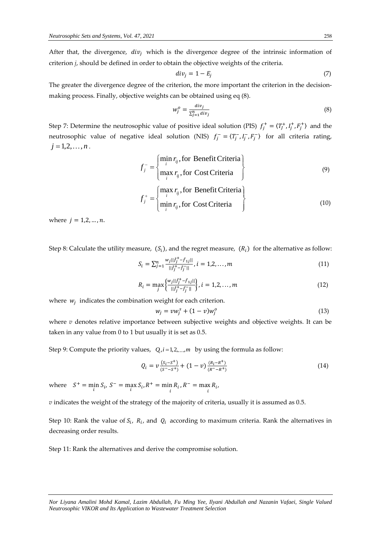After that, the divergence,  $div_i$  which is the divergence degree of the intrinsic information of criterion *j*, should be defined in order to obtain the objective weights of the criteria.

$$
div_j = 1 - E_j \tag{7}
$$

The greater the divergence degree of the criterion, the more important the criterion in the decisionmaking process. Finally, objective weights can be obtained using eq (8).

$$
w_j^o = \frac{div_j}{\sum_{j=1}^n div_j} \tag{8}
$$

Step 7: Determine the neutrosophic value of positive ideal solution (PIS)  $f_j^+ = \langle T_j^+, I_j^+, F_j^+ \rangle$  and the neutrosophic value of negative ideal solution (NIS)  $f_j^- = \langle T_j^-, I_j^-, F_j^- \rangle$  for all criteria rating,  $j = 1, 2, \ldots, n$ .

$$
f_j^- = \begin{cases} \min_i r_{ij}, \text{for Benefit Criteria} \\ \max_i r_{ij}, \text{for Cost Criteria} \end{cases}
$$
 (9)

$$
f_j^+ = \begin{cases} \max_i r_{ij}, \text{for Benefit Criteria} \\ \min_i r_{ij}, \text{for Cost Criteria} \end{cases}
$$
 (10)

where  $j = 1, 2, ..., n$ .

Step 8: Calculate the utility measure,  $(S_i)$ , and the regret measure,  $(R_i)$  for the alternative as follow:

$$
S_i = \sum_{j=1}^n \frac{w_j ||\tilde{f}_j^+ - \tilde{f}_{1j}||}{||\tilde{f}_j^+ - \tilde{f}_j||}, i = 1, 2, ..., m
$$
\n(11)

$$
R_{i} = \max_{j} \left\{ \frac{w_{j} || \tilde{f}_{j}^{+} - \tilde{f}_{1j} ||}{|| \tilde{f}_{j}^{+} - \tilde{f}_{j}^{-} ||}, i = 1, 2, ..., m \right\}
$$
 (12)

where  $w_j$  indicates the combination weight for each criterion.

$$
w_j = v w_j^s + (1 - v) w_j^o \tag{13}
$$

where *v* denotes relative importance between subjective weights and objective weights. It can be taken in any value from 0 to 1 but usually it is set as 0.5.

Step 9: Compute the priority values,  $Q_i$ ,  $i = 1, 2, \ldots, m$  by using the formula as follow:

$$
Q_i = \nu \frac{(s_i - s^+)}{(s^+ - s^+)} + (1 - \nu) \frac{(R_i - R^+)}{(R^+ - R^+)}
$$
(14)

where  $S^+ = \min_i S_i$ ,  $S^- = \max_i S_i$ ,  $R^+ = \min_i R_i$ ,  $R^- = \max_i R_i$ ,

*v* indicates the weight of the strategy of the majority of criteria, usually it is assumed as 0.5.

Step 10: Rank the value of  $S_i$ ,  $R_i$ , and  $Q_i$  according to maximum criteria. Rank the alternatives in decreasing order results.

Step 11: Rank the alternatives and derive the compromise solution.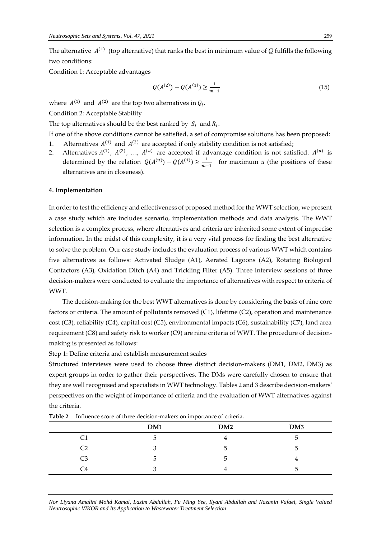The alternative  $A^{(1)}$  (top alternative) that ranks the best in minimum value of *Q* fulfills the following two conditions:

Condition 1: Acceptable advantages

$$
Q(A^{(2)}) - Q(A^{(1)}) \ge \frac{1}{m-1} \tag{15}
$$

where  $A^{(1)}$  and  $A^{(2)}$  are the top two alternatives in  $Q_i$ .

Condition 2: Acceptable Stability

The top alternatives should be the best ranked by  $S_i$  and  $R_i$ .

If one of the above conditions cannot be satisfied, a set of compromise solutions has been proposed: 1. Alternatives  $A^{(1)}$  and  $A^{(2)}$  are accepted if only stability condition is not satisfied;

2. Alternatives  $A^{(1)}$ ,  $A^{(2)}$ , ...,  $A^{(u)}$  are accepted if advantage condition is not satisfied.  $A^{(u)}$  is determined by the relation  $Q(A^{(u)}) - Q(A^{(1)}) \ge \frac{1}{m}$  $\frac{1}{m-1}$  for maximum *u* (the positions of these alternatives are in closeness).

#### **4. Implementation**

In order to test the efficiency and effectiveness of proposed method for the WWT selection, we present a case study which are includes scenario, implementation methods and data analysis. The WWT selection is a complex process, where alternatives and criteria are inherited some extent of imprecise information. In the midst of this complexity, it is a very vital process for finding the best alternative to solve the problem. Our case study includes the evaluation process of various WWT which contains five alternatives as follows: Activated Sludge (A1), Aerated Lagoons (A2), Rotating Biological Contactors (A3), Oxidation Ditch (A4) and Trickling Filter (A5). Three interview sessions of three decision-makers were conducted to evaluate the importance of alternatives with respect to criteria of WWT.

The decision-making for the best WWT alternatives is done by considering the basis of nine core factors or criteria. The amount of pollutants removed (C1), lifetime (C2), operation and maintenance cost (C3), reliability (C4), capital cost (C5), environmental impacts (C6), sustainability (C7), land area requirement (C8) and safety risk to worker (C9) are nine criteria of WWT. The procedure of decisionmaking is presented as follows:

Step 1: Define criteria and establish measurement scales

Structured interviews were used to choose three distinct decision-makers (DM1, DM2, DM3) as expert groups in order to gather their perspectives. The DMs were carefully chosen to ensure that they are well recognised and specialists in WWT technology. Tables 2 and 3 describe decision-makers' perspectives on the weight of importance of criteria and the evaluation of WWT alternatives against the criteria.

|    | DM1           | DM2           | DM3 |
|----|---------------|---------------|-----|
| C1 | $\circ$       |               | ∽   |
| C2 | Ć             | $\mathcal{D}$ | ∽   |
| C3 | $\mathcal{D}$ | $\mathcal{D}$ |     |
| C4 |               |               | ∽   |

**Table 2** Influence score of three decision-makers on importance of criteria.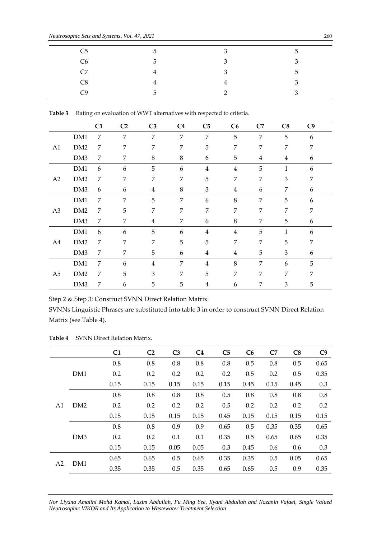| C <sub>5</sub> | 5                        | 3 | $\overline{ }$ |
|----------------|--------------------------|---|----------------|
| C <sub>6</sub> | 5.                       | 3 | $\mathbf{z}$   |
| C7             | 4                        | 3 | 片              |
| C8             | 4                        | 4 | $\mathbf{z}$   |
| ∼q             | $\overline{\phantom{a}}$ | ⌒ |                |

**Table 3** Rating on evaluation of WWT alternatives with respected to criteria.

|                |                 | C1 | C <sub>2</sub> | C <sub>3</sub> | C <sub>4</sub> | C <sub>5</sub> | C6             | C7             | C8             | C9 |  |
|----------------|-----------------|----|----------------|----------------|----------------|----------------|----------------|----------------|----------------|----|--|
|                | DM1             | 7  | 7              | 7              | 7              | 7              | 5              | 7              | 5              | 6  |  |
| A <sub>1</sub> | DM <sub>2</sub> | 7  | 7              | 7              | 7              | 5              | 7              | 7              | 7              | 7  |  |
|                | DM3             | 7  | 7              | $\,8\,$        | 8              | 6              | 5              | $\overline{4}$ | $\overline{4}$ | 6  |  |
|                | DM1             | 6  | 6              | 5              | 6              | $\overline{4}$ | $\overline{4}$ | 5              | 1              | 6  |  |
| A2             | DM2             | 7  | 7              | 7              | 7              | 5              | 7              | 7              | 3              | 7  |  |
|                | DM3             | 6  | 6              | $\overline{4}$ | 8              | 3              | $\overline{4}$ | 6              | 7              | 6  |  |
|                | DM1             | 7  | 7              | 5              | 7              | 6              | 8              | 7              | 5              | 6  |  |
| A3             | DM2             | 7  | 5              | 7              | 7              | 7              | 7              | 7              | 7              | 7  |  |
|                | DM3             | 7  | 7              | $\overline{4}$ | 7              | 6              | 8              | 7              | 5              | 6  |  |
|                | DM1             | 6  | 6              | 5              | 6              | $\overline{4}$ | $\overline{4}$ | 5              | $\mathbf{1}$   | 6  |  |
| A4             | DM2             | 7  | 7              | 7              | 5              | 5              | 7              | 7              | 5              | 7  |  |
|                | DM3             | 7  | 7              | 5              | 6              | $\overline{4}$ | $\overline{4}$ | 5              | 3              | 6  |  |
|                | DM1             | 7  | 6              | $\overline{4}$ | 7              | $\overline{4}$ | 8              | 7              | 6              | 5  |  |
| A <sub>5</sub> | DM <sub>2</sub> | 7  | 5              | 3              | 7              | 5              | 7              | 7              | 7              | 7  |  |
|                | DM3             | 7  | 6              | 5              | 5              | $\overline{4}$ | 6              | 7              | 3              | 5  |  |

Step 2 & Step 3: Construct SVNN Direct Relation Matrix

SVNNs Linguistic Phrases are substituted into table 3 in order to construct SVNN Direct Relation Matrix (see Table 4).

|                |                 | C <sub>1</sub> | C <sub>2</sub> | C <sub>3</sub> | C <sub>4</sub> | C <sub>5</sub> | C6   | C7   | C8   | C <sub>9</sub> |
|----------------|-----------------|----------------|----------------|----------------|----------------|----------------|------|------|------|----------------|
|                |                 | 0.8            | 0.8            | 0.8            | 0.8            | 0.8            | 0.5  | 0.8  | 0.5  | 0.65           |
|                | DM1             | 0.2            | 0.2            | 0.2            | 0.2            | 0.2            | 0.5  | 0.2  | 0.5  | 0.35           |
|                |                 | 0.15           | 0.15           | 0.15           | 0.15           | 0.15           | 0.45 | 0.15 | 0.45 | 0.3            |
|                |                 | 0.8            | 0.8            | 0.8            | 0.8            | 0.5            | 0.8  | 0.8  | 0.8  | 0.8            |
| A <sub>1</sub> | DM <sub>2</sub> | 0.2            | 0.2            | 0.2            | 0.2            | 0.5            | 0.2  | 0.2  | 0.2  | 0.2            |
|                |                 | 0.15           | 0.15           | 0.15           | 0.15           | 0.45           | 0.15 | 0.15 | 0.15 | 0.15           |
|                |                 | 0.8            | 0.8            | 0.9            | 0.9            | 0.65           | 0.5  | 0.35 | 0.35 | 0.65           |
|                | DM <sub>3</sub> | 0.2            | 0.2            | 0.1            | 0.1            | 0.35           | 0.5  | 0.65 | 0.65 | 0.35           |
|                |                 | 0.15           | 0.15           | 0.05           | 0.05           | 0.3            | 0.45 | 0.6  | 0.6  | 0.3            |
|                |                 | 0.65           | 0.65           | 0.5            | 0.65           | 0.35           | 0.35 | 0.5  | 0.05 | 0.65           |
| A <sub>2</sub> | DM1             | 0.35           | 0.35           | 0.5            | 0.35           | 0.65           | 0.65 | 0.5  | 0.9  | 0.35           |

**Table 4** SVNN Direct Relation Matrix.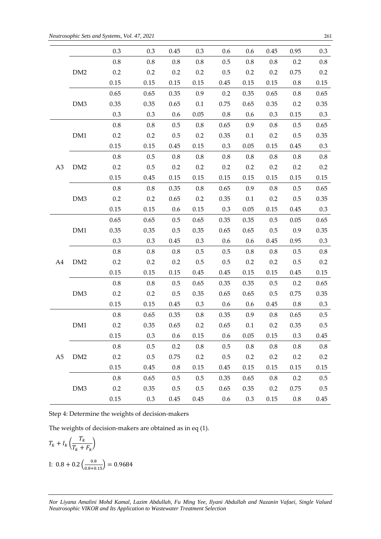|                |                 | 0.3     | 0.3     | 0.45    | 0.3     | 0.6     | 0.6      | 0.45    | 0.95    | 0.3     |
|----------------|-----------------|---------|---------|---------|---------|---------|----------|---------|---------|---------|
|                |                 | $0.8\,$ | $0.8\,$ | $0.8\,$ | $0.8\,$ | 0.5     | $0.8\,$  | $0.8\,$ | 0.2     | 0.8     |
|                | DM <sub>2</sub> | 0.2     | $0.2\,$ | 0.2     | 0.2     | 0.5     | 0.2      | 0.2     | 0.75    | 0.2     |
|                |                 | 0.15    | 0.15    | 0.15    | 0.15    | 0.45    | 0.15     | 0.15    | 0.8     | 0.15    |
|                |                 | 0.65    | 0.65    | 0.35    | 0.9     | $0.2\,$ | 0.35     | 0.65    | $0.8\,$ | 0.65    |
|                | DM3             | 0.35    | 0.35    | 0.65    | 0.1     | 0.75    | 0.65     | 0.35    | 0.2     | 0.35    |
|                |                 | 0.3     | 0.3     | 0.6     | 0.05    | $0.8\,$ | 0.6      | 0.3     | 0.15    | $0.3\,$ |
|                |                 | $0.8\,$ | $0.8\,$ | 0.5     | $0.8\,$ | 0.65    | 0.9      | $0.8\,$ | 0.5     | 0.65    |
|                | DM1             | 0.2     | 0.2     | 0.5     | 0.2     | 0.35    | $0.1\,$  | 0.2     | 0.5     | 0.35    |
|                |                 | 0.15    | 0.15    | 0.45    | 0.15    | 0.3     | 0.05     | 0.15    | 0.45    | $0.3\,$ |
|                |                 | $0.8\,$ | 0.5     | 0.8     | 0.8     | 0.8     | $0.8\,$  | $0.8\,$ | $0.8\,$ | $0.8\,$ |
| A <sub>3</sub> | DM2             | 0.2     | 0.5     | 0.2     | 0.2     | 0.2     | 0.2      | 0.2     | 0.2     | 0.2     |
|                |                 | 0.15    | 0.45    | 0.15    | 0.15    | 0.15    | $0.15\,$ | 0.15    | 0.15    | 0.15    |
|                |                 | $0.8\,$ | $0.8\,$ | 0.35    | $0.8\,$ | 0.65    | 0.9      | $0.8\,$ | 0.5     | 0.65    |
|                | DM3             | 0.2     | $0.2\,$ | 0.65    | 0.2     | 0.35    | 0.1      | 0.2     | 0.5     | 0.35    |
|                |                 | 0.15    | 0.15    | 0.6     | 0.15    | 0.3     | 0.05     | 0.15    | 0.45    | 0.3     |
|                |                 | 0.65    | 0.65    | 0.5     | 0.65    | 0.35    | 0.35     | 0.5     | 0.05    | 0.65    |
|                | DM1             | 0.35    | 0.35    | 0.5     | 0.35    | 0.65    | 0.65     | 0.5     | 0.9     | 0.35    |
|                |                 | 0.3     | 0.3     | 0.45    | 0.3     | 0.6     | 0.6      | 0.45    | 0.95    | $0.3\,$ |
|                |                 | $0.8\,$ | 0.8     | $0.8\,$ | 0.5     | 0.5     | 0.8      | $0.8\,$ | 0.5     | 0.8     |
| A4             | DM <sub>2</sub> | 0.2     | $0.2\,$ | 0.2     | $0.5\,$ | 0.5     | $0.2\,$  | 0.2     | 0.5     | 0.2     |
|                |                 | 0.15    | 0.15    | 0.15    | 0.45    | 0.45    | 0.15     | 0.15    | 0.45    | 0.15    |
|                |                 | $0.8\,$ | $0.8\,$ | 0.5     | 0.65    | 0.35    | 0.35     | 0.5     | 0.2     | 0.65    |
|                | DM3             | 0.2     | 0.2     | $0.5\,$ | 0.35    | 0.65    | 0.65     | $0.5\,$ | 0.75    | 0.35    |
|                |                 | 0.15    | 0.15    | 0.45    | 0.3     | 0.6     | $0.6\,$  | 0.45    | $0.8\,$ | 0.3     |
|                |                 | $0.8\,$ | 0.65    | 0.35    | 0.8     | 0.35    | 0.9      | $0.8\,$ | 0.65    | 0.5     |
|                | DM1             | 0.2     | 0.35    | 0.65    | 0.2     | 0.65    | 0.1      | 0.2     | 0.35    | 0.5     |
|                |                 | 0.15    | 0.3     | 0.6     | 0.15    | 0.6     | 0.05     | 0.15    | 0.3     | 0.45    |
|                |                 | $0.8\,$ | $0.5\,$ | 0.2     | $0.8\,$ | 0.5     | 0.8      | $0.8\,$ | $0.8\,$ | $0.8\,$ |
| A <sub>5</sub> | DM2             | $0.2\,$ | 0.5     | 0.75    | $0.2\,$ | 0.5     | 0.2      | 0.2     | 0.2     | 0.2     |
|                |                 | 0.15    | 0.45    | 0.8     | 0.15    | 0.45    | 0.15     | 0.15    | 0.15    | 0.15    |
|                |                 | 0.8     | 0.65    | 0.5     | 0.5     | 0.35    | 0.65     | $0.8\,$ | 0.2     | 0.5     |
|                | DM <sub>3</sub> | 0.2     | 0.35    | 0.5     | 0.5     | 0.65    | 0.35     | 0.2     | 0.75    | 0.5     |
|                |                 | 0.15    | 0.3     | 0.45    | 0.45    | 0.6     | 0.3      | 0.15    | $0.8\,$ | 0.45    |

Step 4: Determine the weights of decision-makers

The weights of decision-makers are obtained as in eq (1).

$$
T_k + I_k \left( \frac{T_k}{T_k + F_k} \right)
$$
  
I: 0.8 + 0.2  $\left( \frac{0.8}{0.8 + 0.15} \right) = 0.9684$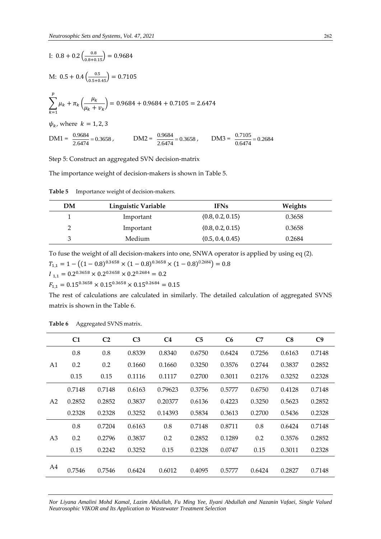I: 
$$
0.8 + 0.2 \left(\frac{0.8}{0.8 + 0.15}\right) = 0.9684
$$
  
\nM:  $0.5 + 0.4 \left(\frac{0.5}{0.5 + 0.45}\right) = 0.7105$   
\n
$$
\sum_{k=1}^{p} \mu_k + \pi_k \left(\frac{\mu_k}{\mu_k + \nu_k}\right) = 0.9684 + 0.9684 + 0.7105 = 2.6474
$$
\n
$$
\psi_k
$$
, where  $k = 1, 2, 3$   
\n
$$
DM1 = \frac{0.9684}{2.6474} = 0.3658
$$
, 
$$
DM2 = \frac{0.9684}{2.6474} = 0.3658
$$
, 
$$
DM3 = \frac{0.7105}{0.6474} = 0.2684
$$

Step 5: Construct an aggregated SVN decision-matrix

The importance weight of decision-makers is shown in Table 5.

**Table 5** Importance weight of decision-makers.

| DΜ | Linguistic Variable | <b>IFNs</b>      | Weights |
|----|---------------------|------------------|---------|
|    | Important           | (0.8, 0.2, 0.15) | 0.3658  |
|    | Important           | (0.8, 0.2, 0.15) | 0.3658  |
|    | Medium              | (0.5, 0.4, 0.45) | 0.2684  |

To fuse the weight of all decision-makers into one, SNWA operator is applied by using eq (2).

 $T_{1,1} = 1 - ((1 - 0.8)^{0.3658} \times (1 - 0.8)^{0.3658} \times (1 - 0.8)^{0.2684}) = 0.8$  $I_{1,1} = 0.2^{0.3658} \times 0.2^{0.3658} \times 0.2^{0.2684} = 0.2$ 

 $F_{1,1} = 0.15^{0.3658} \times 0.15^{0.3658} \times 0.15^{0.2684} = 0.15$ 

The rest of calculations are calculated in similarly. The detailed calculation of aggregated SVNS matrix is shown in the Table 6.

|                | C <sub>1</sub> | C <sub>2</sub> | C <sub>3</sub> | C <sub>4</sub> | C <sub>5</sub> | C6     | C7     | C8     | C <sub>9</sub> |
|----------------|----------------|----------------|----------------|----------------|----------------|--------|--------|--------|----------------|
|                | 0.8            | 0.8            | 0.8339         | 0.8340         | 0.6750         | 0.6424 | 0.7256 | 0.6163 | 0.7148         |
| A1             | 0.2            | 0.2            | 0.1660         | 0.1660         | 0.3250         | 0.3576 | 0.2744 | 0.3837 | 0.2852         |
|                | 0.15           | 0.15           | 0.1116         | 0.1117         | 0.2700         | 0.3011 | 0.2176 | 0.3252 | 0.2328         |
|                | 0.7148         | 0.7148         | 0.6163         | 0.79623        | 0.3756         | 0.5777 | 0.6750 | 0.4128 | 0.7148         |
| A <sub>2</sub> | 0.2852         | 0.2852         | 0.3837         | 0.20377        | 0.6136         | 0.4223 | 0.3250 | 0.5623 | 0.2852         |
|                | 0.2328         | 0.2328         | 0.3252         | 0.14393        | 0.5834         | 0.3613 | 0.2700 | 0.5436 | 0.2328         |
|                | 0.8            | 0.7204         | 0.6163         | 0.8            | 0.7148         | 0.8711 | 0.8    | 0.6424 | 0.7148         |
| A <sub>3</sub> | 0.2            | 0.2796         | 0.3837         | 0.2            | 0.2852         | 0.1289 | 0.2    | 0.3576 | 0.2852         |
|                | 0.15           | 0.2242         | 0.3252         | 0.15           | 0.2328         | 0.0747 | 0.15   | 0.3011 | 0.2328         |
| A4             |                |                |                |                |                |        |        |        |                |
|                | 0.7546         | 0.7546         | 0.6424         | 0.6012         | 0.4095         | 0.5777 | 0.6424 | 0.2827 | 0.7148         |

**Table 6** Aggregated SVNS matrix.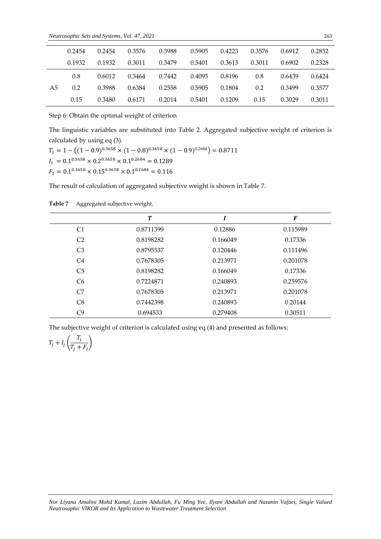|    | 0.2454 | 0.2454 | 0.3576 | 0.3988 | 0.5905 | 0.4223 | 0.3576 | 0.6912 | 0.2852 |
|----|--------|--------|--------|--------|--------|--------|--------|--------|--------|
|    | 0.1932 | 0.1932 | 0.3011 | 0.3479 | 0.5401 | 0.3613 | 0.3011 | 0.6902 | 0.2328 |
|    | 0.8    | 0.6012 | 0.3464 | 0.7442 | 0.4095 | 0.8196 | 0.8    | 0.6439 | 0.6424 |
| A5 | 0.2    | 0.3988 | 0.6384 | 0.2558 | 0.5905 | 0.1804 | 0.2    | 0.3499 | 0.3577 |
|    | 0.15   | 0.3480 | 0.6171 | 0.2014 | 0.5401 | 0.1209 | 0.15   | 0.3029 | 0.3011 |

Step 6: Obtain the optimal weight of criterion

The linguistic variables are substituted into Table 2. Aggregated subjective weight of criterion is calculated by using eq (3).

 $T_1 = 1 - ((1 - 0.9)^{0.3658} \times (1 - 0.8)^{0.3658} \times (1 - 0.9)^{0.2684}) = 0.8711$  $I_1 = 0.1^{0.3658} \times 0.2^{0.3658} \times 0.1^{0.2684} = 0.1289$  $F_1 = 0.1^{0.3658} \times 0.15^{0.3658} \times 0.1^{0.2684} = 0.116$ 

The result of calculation of aggregated subjective weight is shown in Table 7.

|                | T         |          | F        |
|----------------|-----------|----------|----------|
| C1             | 0.8711399 | 0.12886  | 0.115989 |
| C <sub>2</sub> | 0.8198282 | 0.166049 | 0.17336  |
| C <sub>3</sub> | 0.8795537 | 0.120446 | 0.111496 |
| C <sub>4</sub> | 0.7678305 | 0.213971 | 0.201078 |
| C <sub>5</sub> | 0.8198282 | 0.166049 | 0.17336  |
| C <sub>6</sub> | 0.7224871 | 0.240893 | 0.259576 |
| C <sub>7</sub> | 0.7678305 | 0.213971 | 0.201078 |
| C <sub>8</sub> | 0.7442398 | 0.240893 | 0.20144  |
| C9             | 0.694533  | 0.279408 | 0.30511  |

Table 7 Aggregated subjective weight.

The subjective weight of criterion is calculated using eq (4) and presented as follows:

$$
T_j + I_j \left( \frac{T_j}{T_j + F_j} \right)
$$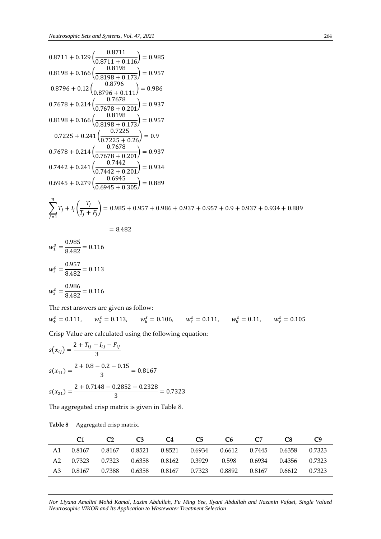$$
0.8711 + 0.129 \left( \frac{0.8711}{0.8711 + 0.116} \right) = 0.985
$$
  
\n
$$
0.8198 + 0.166 \left( \frac{0.8198}{0.8198 + 0.173} \right) = 0.957
$$
  
\n
$$
0.8796 + 0.12 \left( \frac{0.8796}{0.8796 + 0.111} \right) = 0.986
$$
  
\n
$$
0.7678 + 0.214 \left( \frac{0.7678}{0.7678 + 0.201} \right) = 0.937
$$
  
\n
$$
0.8198 + 0.166 \left( \frac{0.8198}{0.8198 + 0.173} \right) = 0.957
$$
  
\n
$$
0.7225 + 0.241 \left( \frac{0.7225}{0.7225 + 0.26} \right) = 0.9
$$
  
\n
$$
0.7678 + 0.214 \left( \frac{0.7678}{0.7678 + 0.201} \right) = 0.937
$$
  
\n
$$
0.7442 + 0.241 \left( \frac{0.7442}{0.7442 + 0.201} \right) = 0.934
$$
  
\n
$$
0.6945 + 0.279 \left( \frac{0.6945}{0.6945 + 0.305} \right) = 0.889
$$
  
\n
$$
\sum_{j=1}^{n} T_j + I_j \left( \frac{T_j}{T_j + F_j} \right) = 0.985 + 0.957 + 0.986 + 0.937 + 0.957 + 0.9 + 0.937 + 0.934 + 0.889
$$
  
\n
$$
= 8.482
$$
  
\n
$$
w^s = \frac{0.985}{}
$$

$$
w_1^s = \frac{0.963}{8.482} = 0.116
$$
  

$$
w_2^s = \frac{0.957}{8.482} = 0.113
$$
  

$$
w_3^s = \frac{0.986}{8.482} = 0.116
$$

The rest answers are given as follow:

 $w_4^s = 0.111, \quad w_5^s$  $\frac{s}{5} = 0.113$ ,  $w_6^s = 0.106$ ,  $w_7^s = 0.111$ ,  $w_8^s = 0.11$ ,  $w_9^s = 0.105$ 

Crisp Value are calculated using the following equation:

$$
s(x_{ij}) = \frac{2 + T_{ij} - I_{ij} - F_{ij}}{3}
$$
  
\n
$$
s(x_{11}) = \frac{2 + 0.8 - 0.2 - 0.15}{3} = 0.8167
$$
  
\n
$$
s(x_{21}) = \frac{2 + 0.7148 - 0.2852 - 0.2328}{3} = 0.7323
$$

The aggregated crisp matrix is given in Table 8.

|                  | $\mathcal{C}$                                                     | C <sub>3</sub> | C4                                                             | C5 | C6 — | C7 | C8. |  |
|------------------|-------------------------------------------------------------------|----------------|----------------------------------------------------------------|----|------|----|-----|--|
|                  | A1 0.8167 0.8167 0.8521 0.8521 0.6934 0.6612 0.7445 0.6358 0.7323 |                |                                                                |    |      |    |     |  |
|                  | A2 0.7323 0.7323 0.6358 0.8162 0.3929 0.598 0.6934 0.4356 0.7323  |                |                                                                |    |      |    |     |  |
| A3 0.8167 0.7388 |                                                                   |                | $0.6358$ $0.8167$ $0.7323$ $0.8892$ $0.8167$ $0.6612$ $0.7323$ |    |      |    |     |  |

**Table 8** Aggregated crisp matrix.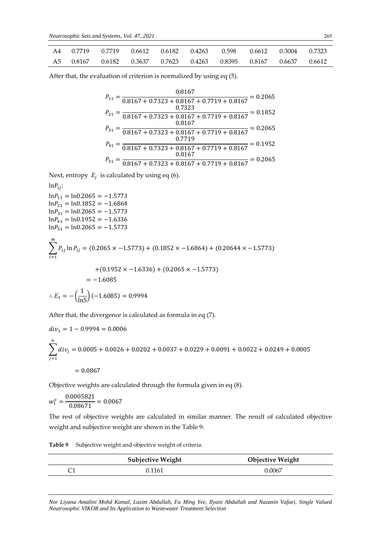|  | A4 0.7719 0.7719 0.6612 0.6182 0.4263 0.598 0.6612 0.3004 0.7323  |  |  |  |  |
|--|-------------------------------------------------------------------|--|--|--|--|
|  | A5 0.8167 0.6182 0.3637 0.7623 0.4263 0.8395 0.8167 0.6637 0.6612 |  |  |  |  |

After that, the evaluation of criterion is normalized by using eq (5).

$$
P_{11} = \frac{0.8167}{0.8167 + 0.7323 + 0.8167 + 0.7719 + 0.8167} = 0.2065
$$
  
\n
$$
P_{21} = \frac{0.7323}{0.8167 + 0.7323 + 0.8167 + 0.7719 + 0.8167} = 0.1852
$$
  
\n
$$
P_{31} = \frac{0.8167}{0.8167 + 0.7323 + 0.8167 + 0.7719 + 0.8167} = 0.2065
$$
  
\n
$$
P_{41} = \frac{0.7719}{0.8167 + 0.7323 + 0.8167 + 0.7719 + 0.8167} = 0.1952
$$
  
\n
$$
P_{51} = \frac{0.8167}{0.8167 + 0.7323 + 0.8167 + 0.7719 + 0.8167} = 0.2065
$$

Next, entropy  $E_j$  is calculated by using eq (6).

$$
ln P_{ij}
$$
:

 $ln P_{11} = ln 0.2065 = -1.5773$  $ln P_{21} = ln 0.1852 = -1.6864$  $ln P_{31} = ln 0.2065 = -1.5773$  $ln P_{41} = ln 0.1952 = -1.6336$  $lnP_{51} = ln0.2065 = -1.5773$  $\sum P_{ij}$  ln  $P_{ij}$  $\boldsymbol{m}$  $i=1$  $= (0.2065 \times -1.5773) + (0.1852 \times -1.6864) + (0.20644 \times -1.5773)$  $+(0.1952 \times -1.6336)+(0.2065 \times -1.5773)$  $=-1.6085$ 

$$
\therefore E_1 = -\left(\frac{1}{\ln 5}\right)(-1.6085) = 0.9994
$$

After that, the divergence is calculated as formula in eq (7).

$$
div_1 = 1 - 0.9994 = 0.0006
$$
  

$$
\sum_{j=1}^{n} div_j = 0.0005 + 0.0026 + 0.0202 + 0.0037 + 0.0229 + 0.0091 + 0.0022 + 0.0249 + 0.0005
$$
  
= 0.0867

Objective weights are calculated through the formula given in eq (8).

$$
w_1^o = \frac{0.0005821}{0.08671} = 0.0067
$$

The rest of objective weights are calculated in similar manner. The result of calculated objective weight and subjective weight are shown in the Table 9.

| Table 9 |  | Subjective weight and objective weight of criteria. |  |  |  |
|---------|--|-----------------------------------------------------|--|--|--|
|---------|--|-----------------------------------------------------|--|--|--|

| <b>Subjective Weight</b> | <b>Objective Weight</b> |
|--------------------------|-------------------------|
| 0.1161                   | 0.0067                  |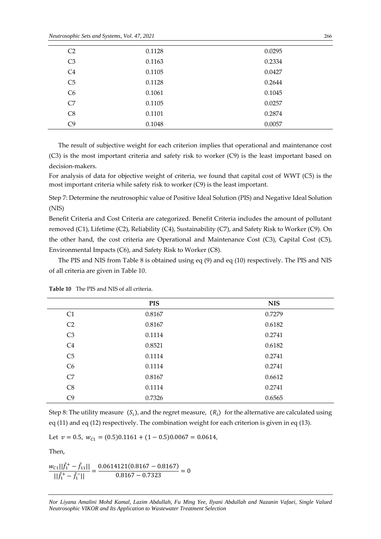*Neutrosophic Sets and Systems, Vol. 47, 2021* <sup>266</sup>

| C <sub>2</sub> | 0.1128 | 0.0295 |
|----------------|--------|--------|
| C <sub>3</sub> | 0.1163 | 0.2334 |
| C4             | 0.1105 | 0.0427 |
| C <sub>5</sub> | 0.1128 | 0.2644 |
| C <sub>6</sub> | 0.1061 | 0.1045 |
| C7             | 0.1105 | 0.0257 |
| C8             | 0.1101 | 0.2874 |
| C9             | 0.1048 | 0.0057 |

The result of subjective weight for each criterion implies that operational and maintenance cost (C3) is the most important criteria and safety risk to worker (C9) is the least important based on decision-makers.

For analysis of data for objective weight of criteria, we found that capital cost of WWT (C5) is the most important criteria while safety risk to worker (C9) is the least important.

Step 7: Determine the neutrosophic value of Positive Ideal Solution (PIS) and Negative Ideal Solution (NIS)

Benefit Criteria and Cost Criteria are categorized. Benefit Criteria includes the amount of pollutant removed (C1), Lifetime (C2), Reliability (C4), Sustainability (C7), and Safety Risk to Worker (C9). On the other hand, the cost criteria are Operational and Maintenance Cost (C3), Capital Cost (C5), Environmental Impacts (C6), and Safety Risk to Worker (C8).

The PIS and NIS from Table 8 is obtained using eq (9) and eq (10) respectively. The PIS and NIS of all criteria are given in Table 10.

|                | <b>PIS</b> | <b>NIS</b> |
|----------------|------------|------------|
| C1             | 0.8167     | 0.7279     |
| C <sub>2</sub> | 0.8167     | 0.6182     |
| C <sub>3</sub> | 0.1114     | 0.2741     |
| C <sub>4</sub> | 0.8521     | 0.6182     |
| C <sub>5</sub> | 0.1114     | 0.2741     |
| C6             | 0.1114     | 0.2741     |
| C7             | 0.8167     | 0.6612     |
| C8             | 0.1114     | 0.2741     |
| C9             | 0.7326     | 0.6565     |

**Table 10** The PIS and NIS of all criteria.

Step 8: The utility measure  $(S_i)$ , and the regret measure,  $(R_i)$  for the alternative are calculated using eq (11) and eq (12) respectively. The combination weight for each criterion is given in eq (13).

Let  $v = 0.5$ ,  $w_{c1} = (0.5)0.1161 + (1 - 0.5)0.0067 = 0.0614$ ,

Then,

$$
\frac{w_{c1}||\tilde{f}_1^+ - \tilde{f}_{11}||}{||\tilde{f}_1^+ - \tilde{f}_1^-||} = \frac{0.0614121(0.8167 - 0.8167)}{0.8167 - 0.7323} = 0
$$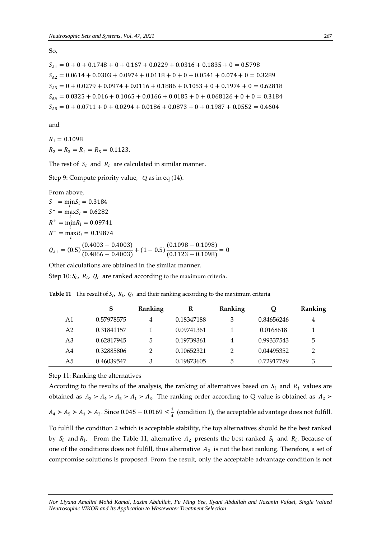So,

$$
S_{A1} = 0 + 0 + 0.1748 + 0 + 0.167 + 0.0229 + 0.0316 + 0.1835 + 0 = 0.5798
$$
  
\n
$$
S_{A2} = 0.0614 + 0.0303 + 0.0974 + 0.0118 + 0 + 0 + 0.0541 + 0.074 + 0 = 0.3289
$$
  
\n
$$
S_{A3} = 0 + 0.0279 + 0.0974 + 0.0116 + 0.1886 + 0.1053 + 0 + 0.1974 + 0 = 0.62818
$$
  
\n
$$
S_{A4} = 0.0325 + 0.016 + 0.1065 + 0.0166 + 0.0185 + 0 + 0.068126 + 0 + 0 = 0.3184
$$
  
\n
$$
S_{A5} = 0 + 0.0711 + 0 + 0.0294 + 0.0186 + 0.0873 + 0 + 0.1987 + 0.0552 = 0.4604
$$

and

 $R_1 = 0.1098$  $R_2 = R_3 = R_4 = R_5 = 0.1123.$ 

The rest of  $S_i$  and  $R_i$  are calculated in similar manner.

Step 9: Compute priority value, *Qi* as in eq (14).

From above,  
\n
$$
S^{+} = \min_{i} S_{i} = 0.3184
$$
\n
$$
S^{-} = \max_{i} S_{i} = 0.6282
$$
\n
$$
R^{+} = \min_{i} R_{i} = 0.09741
$$
\n
$$
R^{-} = \max_{i} R_{i} = 0.19874
$$
\n
$$
Q_{A1} = (0.5) \frac{(0.4003 - 0.4003)}{(0.4866 - 0.4003)} + (1 - 0.5) \frac{(0.1098 - 0.1098)}{(0.1123 - 0.1098)} = 0
$$

Other calculations are obtained in the similar manner.

Step 10:  $S_i$ ,  $R_i$ ,  $Q_i$  are ranked according to the maximum criteria.

**Table 11** The result of  $S_i$ ,  $R_i$ ,  $Q_i$  and their ranking according to the maximum criteria

|    | S          | Ranking | R          | Ranking | Q          | Ranking |
|----|------------|---------|------------|---------|------------|---------|
| A1 | 0.57978575 | 4       | 0.18347188 | З       | 0.84656246 | 4       |
| A2 | 0.31841157 |         | 0.09741361 |         | 0.0168618  |         |
| A3 | 0.62817945 | 5       | 0.19739361 | 4       | 0.99337543 | 5       |
| A4 | 0.32885806 |         | 0.10652321 | 2       | 0.04495352 | 2       |
| A5 | 0.46039547 | 3       | 0.19873605 | 5       | 0.72917789 | 3       |

Step 11: Ranking the alternatives

According to the results of the analysis, the ranking of alternatives based on  $S_i$  and  $R_i$  values are obtained as  $A_2 > A_4 > A_5 > A_1 > A_3$ . The ranking order according to Q value is obtained as  $A_2 >$ 

 $A_4 > A_5 > A_1 > A_3$ . Since 0.045 – 0.0169  $\leq \frac{1}{4}$  $\frac{1}{4}$  (condition 1), the acceptable advantage does not fulfill.

To fulfill the condition 2 which is acceptable stability, the top alternatives should be the best ranked by  $S_i$  and  $R_i$ . From the Table 11, alternative  $A_2$  presents the best ranked  $S_i$  and  $R_i$ . Because of one of the conditions does not fulfill, thus alternative  $A_2$  is not the best ranking. Therefore, a set of compromise solutions is proposed. From the result, only the acceptable advantage condition is not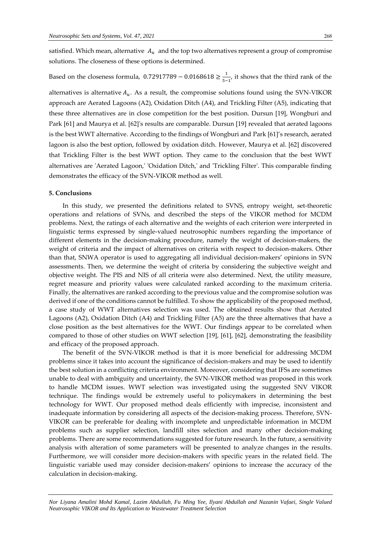satisfied. Which mean, alternative  $A_u$  and the top two alternatives represent a group of compromise solutions. The closeness of these options is determined.

#### Based on the closeness formula,  $0.72917789 - 0.0168618 \geq \frac{1}{5}$  $\frac{1}{5-1}$ , it shows that the third rank of the

alternatives is alternative  $A_u$ . As a result, the compromise solutions found using the SVN-VIKOR approach are Aerated Lagoons (A2), Oxidation Ditch (A4), and Trickling Filter (A5), indicating that these three alternatives are in close competition for the best position. Dursun [19], Wongburi and Park [61] and Maurya et al. [62]'s results are comparable. Dursun [19] revealed that aerated lagoons is the best WWT alternative. According to the findings of Wongburi and Park [61]'s research, aerated lagoon is also the best option, followed by oxidation ditch. However, Maurya et al. [62] discovered that Trickling Filter is the best WWT option. They came to the conclusion that the best WWT alternatives are 'Aerated Lagoon,' 'Oxidation Ditch,' and 'Trickling Filter'. This comparable finding demonstrates the efficacy of the SVN-VIKOR method as well.

### **5. Conclusions**

In this study, we presented the definitions related to SVNS, entropy weight, set-theoretic operations and relations of SVNs, and described the steps of the VIKOR method for MCDM problems. Next, the ratings of each alternative and the weights of each criterion were interpreted in linguistic terms expressed by single-valued neutrosophic numbers regarding the importance of different elements in the decision-making procedure, namely the weight of decision-makers, the weight of criteria and the impact of alternatives on criteria with respect to decision-makers. Other than that, SNWA operator is used to aggregating all individual decision-makers' opinions in SVN assessments. Then, we determine the weight of criteria by considering the subjective weight and objective weight. The PIS and NIS of all criteria were also determined. Next, the utility measure, regret measure and priority values were calculated ranked according to the maximum criteria. Finally, the alternatives are ranked according to the previous value and the compromise solution was derived if one of the conditions cannot be fulfilled. To show the applicability of the proposed method, a case study of WWT alternatives selection was used. The obtained results show that Aerated Lagoons (A2), Oxidation Ditch (A4) and Trickling Filter (A5) are the three alternatives that have a close position as the best alternatives for the WWT. Our findings appear to be correlated when compared to those of other studies on WWT selection [19], [61], [62], demonstrating the feasibility and efficacy of the proposed approach.

The benefit of the SVN-VIKOR method is that it is more beneficial for addressing MCDM problems since it takes into account the significance of decision-makers and may be used to identify the best solution in a conflicting criteria environment. Moreover, considering that IFSs are sometimes unable to deal with ambiguity and uncertainty, the SVN-VIKOR method was proposed in this work to handle MCDM issues. WWT selection was investigated using the suggested SNV VIKOR technique. The findings would be extremely useful to policymakers in determining the best technology for WWT. Our proposed method deals efficiently with imprecise, inconsistent and inadequate information by considering all aspects of the decision-making process. Therefore, SVN-VIKOR can be preferable for dealing with incomplete and unpredictable information in MCDM problems such as supplier selection, landfill sites selection and many other decision-making problems. There are some recommendations suggested for future research. In the future, a sensitivity analysis with alteration of some parameters will be presented to analyze changes in the results. Furthermore, we will consider more decision-makers with specific years in the related field. The linguistic variable used may consider decision-makers' opinions to increase the accuracy of the calculation in decision-making.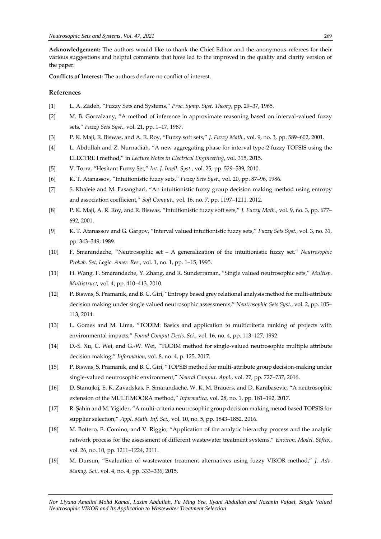**Acknowledgement:** The authors would like to thank the Chief Editor and the anonymous referees for their various suggestions and helpful comments that have led to the improved in the quality and clarity version of the paper.

**Conflicts of Interest:** The authors declare no conflict of interest.

## **References**

- [1] L. A. Zadeh, "Fuzzy Sets and Systems," *Proc. Symp. Syst. Theory*, pp. 29–37, 1965.
- [2] M. B. Gorzalzany, "A method of inference in approximate reasoning based on interval-valued fuzzy sets," *Fuzzy Sets Syst.*, vol. 21, pp. 1–17, 1987.
- [3] P. K. Maji, R. Biswas, and A. R. Roy, "Fuzzy soft sets," *J. Fuzzy Math.*, vol. 9, no. 3, pp. 589–602, 2001.
- [4] L. Abdullah and Z. Nurnadiah, "A new aggregating phase for interval type-2 fuzzy TOPSIS using the ELECTRE I method," in *Lecture Notes in Electrical Engineering*, vol. 315, 2015.
- [5] V. Torra, "Hesitant Fuzzy Set," *Int. J. Intell. Syst.*, vol. 25, pp. 529–539, 2010.
- [6] K. T. Atanassov, "Intuitionistic fuzzy sets," *Fuzzy Sets Syst.*, vol. 20, pp. 87–96, 1986.
- [7] S. Khaleie and M. Fasanghari, "An intuitionistic fuzzy group decision making method using entropy and association coefficient," *Soft Comput.*, vol. 16, no. 7, pp. 1197–1211, 2012.
- [8] P. K. Maji, A. R. Roy, and R. Biswas, "Intuitionistic fuzzy soft sets," *J. Fuzzy Math.*, vol. 9, no. 3, pp. 677– 692, 2001.
- [9] K. T. Atanassov and G. Gargov, "Interval valued intuitionistic fuzzy sets," *Fuzzy Sets Syst.*, vol. 3, no. 31, pp. 343–349, 1989.
- [10] F. Smarandache, "Neutrosophic set A generalization of the intuitionistic fuzzy set," *Neutrosophic Probab. Set, Logic. Amer. Res.*, vol. 1, no. 1, pp. 1–15, 1995.
- [11] H. Wang, F. Smarandache, Y. Zhang, and R. Sunderraman, "Single valued neutrosophic sets," *Multisp. Multistruct*, vol. 4, pp. 410–413, 2010.
- [12] P. Biswas, S. Pramanik, and B. C. Giri, "Entropy based grey relational analysis method for multi-attribute decision making under single valued neutrosophic assessments," *Neutrosophic Sets Syst.*, vol. 2, pp. 105– 113, 2014.
- [13] L. Gomes and M. Lima, "TODIM: Basics and application to multicriteria ranking of projects with environmental impacts," *Found Comput Decis. Sci.*, vol. 16, no. 4, pp. 113–127, 1992.
- [14] D.-S. Xu, C. Wei, and G.-W. Wei, "TODIM method for single-valued neutrosophic multiple attribute decision making," *Information*, vol. 8, no. 4, p. 125, 2017.
- [15] P. Biswas, S. Pramanik, and B. C. Giri, "TOPSIS method for multi-attribute group decision-making under single-valued neutrosophic environment," *Neural Comput. Appl.*, vol. 27, pp. 727–737, 2016.
- [16] D. Stanujkij, E. K. Zavadskas, F. Smarandache, W. K. M. Brauers, and D. Karabasevic, "A neutrosophic extension of the MULTIMOORA method," *Informatica*, vol. 28, no. 1, pp. 181–192, 2017.
- [17] R. Şahin and M. Yiğider, "A multi-criteria neutrosophic group decision making metod based TOPSIS for supplier selection," *Appl. Math. Inf. Sci.*, vol. 10, no. 5, pp. 1843–1852, 2016.
- [18] M. Bottero, E. Comino, and V. Riggio, "Application of the analytic hierarchy process and the analytic network process for the assessment of different wastewater treatment systems," *Environ. Model. Softw.*, vol. 26, no. 10, pp. 1211–1224, 2011.
- [19] M. Dursun, "Evaluation of wastewater treatment alternatives using fuzzy VIKOR method," *J. Adv. Manag. Sci.*, vol. 4, no. 4, pp. 333–336, 2015.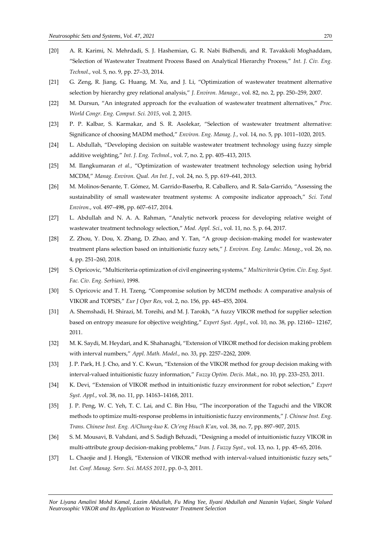- [20] A. R. Karimi, N. Mehrdadi, S. J. Hashemian, G. R. Nabi Bidhendi, and R. Tavakkoli Moghaddam, "Selection of Wastewater Treatment Process Based on Analytical Hierarchy Process," *Int. J. Civ. Eng. Technol.*, vol. 5, no. 9, pp. 27–33, 2014.
- [21] G. Zeng, R. Jiang, G. Huang, M. Xu, and J. Li, "Optimization of wastewater treatment alternative selection by hierarchy grey relational analysis," *J. Environ. Manage.*, vol. 82, no. 2, pp. 250–259, 2007.
- [22] M. Dursun, "An integrated approach for the evaluation of wastewater treatment alternatives," *Proc. World Congr. Eng. Comput. Sci. 2015*, vol. 2, 2015.
- [23] P. P. Kalbar, S. Karmakar, and S. R. Asolekar, "Selection of wastewater treatment alternative: Significance of choosing MADM method," *Environ. Eng. Manag. J.*, vol. 14, no. 5, pp. 1011–1020, 2015.
- [24] L. Abdullah, "Developing decision on suitable wastewater treatment technology using fuzzy simple additive weighting," *Int. J. Eng. Technol.*, vol. 7, no. 2, pp. 405–413, 2015.
- [25] M. Ilangkumaran *et al.*, "Optimization of wastewater treatment technology selection using hybrid MCDM," *Manag. Environ. Qual. An Int. J.*, vol. 24, no. 5, pp. 619–641, 2013.
- [26] M. Molinos-Senante, T. Gómez, M. Garrido-Baserba, R. Caballero, and R. Sala-Garrido, "Assessing the sustainability of small wastewater treatment systems: A composite indicator approach," *Sci. Total Environ.*, vol. 497–498, pp. 607–617, 2014.
- [27] L. Abdullah and N. A. A. Rahman, "Analytic network process for developing relative weight of wastewater treatment technology selection," *Mod. Appl. Sci.*, vol. 11, no. 5, p. 64, 2017.
- [28] Z. Zhou, Y. Dou, X. Zhang, D. Zhao, and Y. Tan, "A group decision-making model for wastewater treatment plans selection based on intuitionistic fuzzy sets," *J. Environ. Eng. Landsc. Manag.*, vol. 26, no. 4, pp. 251–260, 2018.
- [29] S. Opricovic, "Multicriteria optimization of civil engineering systems," *Multicriteria Optim. Civ. Eng. Syst. Fac. Civ. Eng. Serbian)*, 1998.
- [30] S. Opricovic and T. H. Tzeng, "Compromise solution by MCDM methods: A comparative analysis of VIKOR and TOPSIS," *Eur J Oper Res*, vol. 2, no. 156, pp. 445–455, 2004.
- [31] A. Shemshadi, H. Shirazi, M. Toreihi, and M. J. Tarokh, "A fuzzy VIKOR method for supplier selection based on entropy measure for objective weighting," *Expert Syst. Appl.*, vol. 10, no. 38, pp. 12160– 12167, 2011.
- [32] M. K. Saydi, M. Heydari, and K. Shahanaghi, "Extension of VIKOR method for decision making problem with interval numbers," *Appl. Math. Model.*, no. 33, pp. 2257–2262, 2009.
- [33] J. P. Park, H. J. Cho, and Y. C. Kwun, "Extension of the VIKOR method for group decision making with interval-valued intuitionistic fuzzy information," *Fuzzy Optim. Decis. Mak.*, no. 10, pp. 233–253, 2011.
- [34] K. Devi, "Extension of VIKOR method in intuitionistic fuzzy environment for robot selection," *Expert Syst. Appl.*, vol. 38, no. 11, pp. 14163–14168, 2011.
- [35] J. P. Peng, W. C. Yeh, T. C. Lai, and C. Bin Hsu, "The incorporation of the Taguchi and the VIKOR methods to optimize multi-response problems in intuitionistic fuzzy environments," *J. Chinese Inst. Eng. Trans. Chinese Inst. Eng. A/Chung-kuo K. Ch'eng Hsuch K'an*, vol. 38, no. 7, pp. 897–907, 2015.
- [36] S. M. Mousavi, B. Vahdani, and S. Sadigh Behzadi, "Designing a model of intuitionistic fuzzy VIKOR in multi-attribute group decision-making problems," *Iran. J. Fuzzy Syst.*, vol. 13, no. 1, pp. 45–65, 2016.
- [37] L. Chaojie and J. Hongli, "Extension of VIKOR method with interval-valued intuitionistic fuzzy sets," *Int. Conf. Manag. Serv. Sci. MASS 2011*, pp. 0–3, 2011.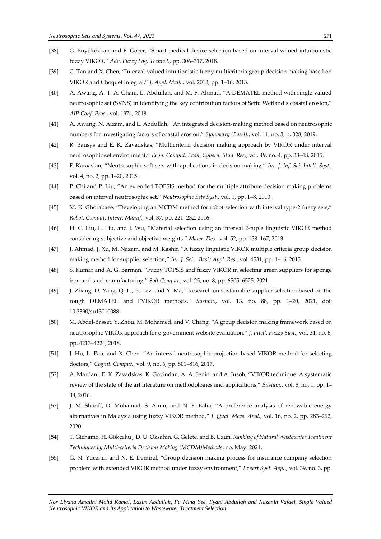- [38] G. Büyüközkan and F. Göçer, "Smart medical device selection based on interval valued intuitionistic fuzzy VIKOR," *Adv. Fuzzy Log. Technol.*, pp. 306–317, 2018.
- [39] C. Tan and X. Chen, "Interval-valued intuitionistic fuzzy multicriteria group decision making based on VIKOR and Choquet integral," *J. Appl. Math.*, vol. 2013, pp. 1–16, 2013.
- [40] A. Awang, A. T. A. Ghani, L. Abdullah, and M. F. Ahmad, "A DEMATEL method with single valued neutrosophic set (SVNS) in identifying the key contribution factors of Setiu Wetland's coastal erosion," *AIP Conf. Proc.*, vol. 1974, 2018.
- [41] A. Awang, N. Aizam, and L. Abdullah, "An integrated decision-making method based on neutrosophic numbers for investigating factors of coastal erosion," *Symmetry (Basel).*, vol. 11, no. 3, p. 328, 2019.
- [42] R. Bausys and E. K. Zavadskas, "Multicriteria decision making approach by VIKOR under interval neutrosophic set environment," *Econ. Comput. Econ. Cybern. Stud. Res.*, vol. 49, no. 4, pp. 33–48, 2015.
- [43] F. Karaaslan, "Neutrosophic soft sets with applications in decision making," *Int. J. Inf. Sci. Intell. Syst.*, vol. 4, no. 2, pp. 1–20, 2015.
- [44] P. Chi and P. Liu, "An extended TOPSIS method for the multiple attribute decision making problems based on interval neutrosophic set," *Neutrosophic Sets Syst.*, vol. 1, pp. 1–8, 2013.
- [45] M. K. Ghorabaee, "Developing an MCDM method for robot selection with interval type-2 fuzzy sets," *Robot. Comput. Integr. Manuf.*, vol. 37, pp. 221–232, 2016.
- [46] H. C. Liu, L. Liu, and J. Wu, "Material selection using an interval 2-tuple linguistic VIKOR method considering subjective and objective weights," *Mater. Des.*, vol. 52, pp. 158–167, 2013.
- [47] J. Ahmad, J. Xu, M. Nazam, and M. Kashif, "A fuzzy linguistic VIKOR multiple criteria group decision making method for supplier selection," *Int. J. Sci. Basic Appl. Res.*, vol. 4531, pp. 1–16, 2015.
- [48] S. Kumar and A. G. Barman, "Fuzzy TOPSIS and fuzzy VIKOR in selecting green suppliers for sponge iron and steel manufacturing," *Soft Comput.*, vol. 25, no. 8, pp. 6505–6525, 2021.
- [49] J. Zhang, D. Yang, Q. Li, B. Lev, and Y. Ma, "Research on sustainable supplier selection based on the rough DEMATEL and FVIKOR methods," *Sustain.*, vol. 13, no. 88, pp. 1–20, 2021, doi: 10.3390/su13010088.
- [50] M. Abdel-Basset, Y. Zhou, M. Mohamed, and V. Chang, "A group decision making framework based on neutrosophic VIKOR approach for e-government website evaluation," *J. Intell. Fuzzy Syst.*, vol. 34, no. 6, pp. 4213–4224, 2018.
- [51] J. Hu, L. Pan, and X. Chen, "An interval neutrosophic projection-based VIKOR method for selecting doctors," *Cognit. Comput.*, vol. 9, no. 6, pp. 801–816, 2017.
- [52] A. Mardani, E. K. Zavadskas, K. Govindan, A. A. Senin, and A. Jusoh, "VIKOR technique: A systematic review of the state of the art literature on methodologies and applications," *Sustain.*, vol. 8, no. 1, pp. 1– 38, 2016.
- [53] J. M. Shariff, D. Mohamad, S. Amin, and N. F. Baha, "A preference analysis of renewable energy alternatives in Malaysia using fuzzy VIKOR method," *J. Qual. Meas. Anal.*, vol. 16, no. 2, pp. 283–292, 2020.
- [54] T. Gichamo, H. Gökçeku¸, D. U. Ozsahin, G. Gelete, and B. Uzun, *Ranking of Natural Wastewater Treatment Techniques by Multi-criteria Decision Making (MCDM)Methods*, no. May. 2021.
- [55] G. N. Yücenur and N. E. Demirel, "Group decision making process for insurance company selection problem with extended VIKOR method under fuzzy environment," *Expert Syst. Appl.*, vol. 39, no. 3, pp.